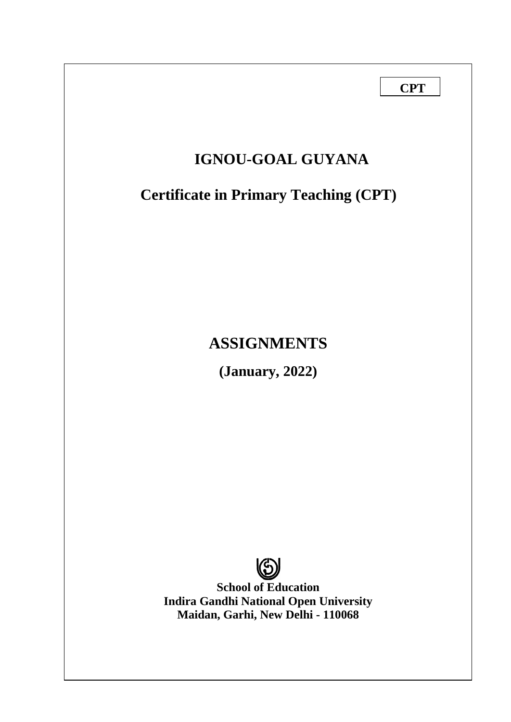**CPT**

# **IGNOU-GOAL GUYANA**

# **Certificate in Primary Teaching (CPT)**

33333

# **ASSIGNMENTS**

**(January, 2022)**



**School of Education Indira Gandhi National Open University Maidan, Garhi, New Delhi - 110068**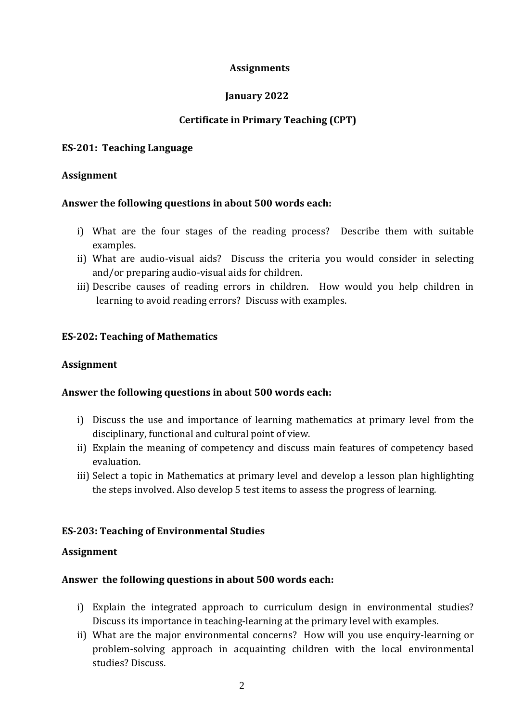# **Assignments**

## **January 2022**

# **Certificate in Primary Teaching (CPT)**

## **ES-201: Teaching Language**

#### **Assignment**

#### **Answer the following questions in about 500 words each:**

- i) What are the four stages of the reading process? Describe them with suitable examples.
- ii) What are audio-visual aids? Discuss the criteria you would consider in selecting and/or preparing audio-visual aids for children.
- iii) Describe causes of reading errors in children. How would you help children in learning to avoid reading errors? Discuss with examples.

## **ES-202: Teaching of Mathematics**

### **Assignment**

#### **Answer the following questions in about 500 words each:**

- i) Discuss the use and importance of learning mathematics at primary level from the disciplinary, functional and cultural point of view.
- ii) Explain the meaning of competency and discuss main features of competency based evaluation.
- iii) Select a topic in Mathematics at primary level and develop a lesson plan highlighting the steps involved. Also develop 5 test items to assess the progress of learning.

## **ES-203: Teaching of Environmental Studies**

#### **Assignment**

#### **Answer the following questions in about 500 words each:**

- i) Explain the integrated approach to curriculum design in environmental studies? Discuss its importance in teaching-learning at the primary level with examples.
- ii) What are the major environmental concerns? How will you use enquiry-learning or problem-solving approach in acquainting children with the local environmental studies? Discuss.